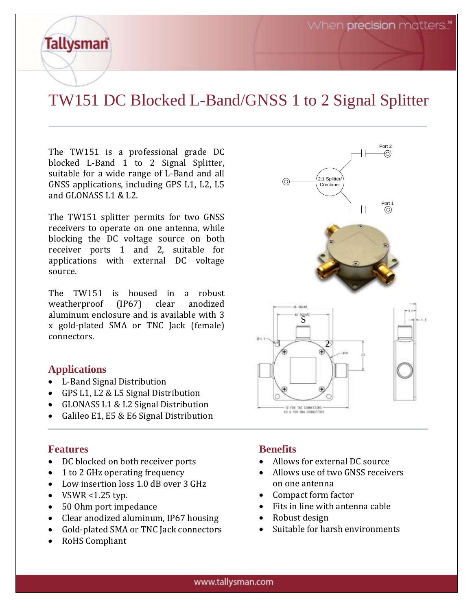Port 1

Port 2

⊙

# TW151 DC Blocked L-Band/GNSS 1 to 2 Signal Splitter

The TW151 is a professional grade DC blocked L-Band 1 to 2 Signal Splitter, suitable for a wide range of L-Band and all GNSS applications, including GPS L1, L2, L5 and GLONASS L1 & L2.

The TW151 splitter permits for two GNSS receivers to operate on one antenna, while blocking the DC voltage source on both receiver ports 1 and 2, suitable for applications with external DC voltage source.

The TW151 is housed in a robust weatherproof (IP67) clear anodized aluminum enclosure and is available with 3 x gold-plated SMA or TNC Jack (female) connectors.

#### **Applications**

**Tallysman** 

- L-Band Signal Distribution
- GPS L1, L2 & L5 Signal Distribution
- GLONASS L1 & L2 Signal Distribution
- Galileo E1, E5 & E6 Signal Distribution

#### **Features**

- DC blocked on both receiver ports
- 1 to 2 GHz operating frequency
- Low insertion loss 1.0 dB over 3 GHz
- VSWR  $<1.25$  typ.
- 50 Ohm port impedance
- Clear anodized aluminum, IP67 housing
- Gold-plated SMA or TNC Jack connectors
- RoHS Compliant

# **Benefits**

- Allows for external DC source
- Allows use of two GNSS receivers on one antenna
- Fits in line with antenna cable
- Suitable for harsh environments
- Compact form factor • Robust design

S

2:1 Splitter/ Combiner

 $\odot$ 

 $1 \nearrow 2$ 

TO FOR TNC CONNECTORS 43. A FOR SMA CONNECTOR